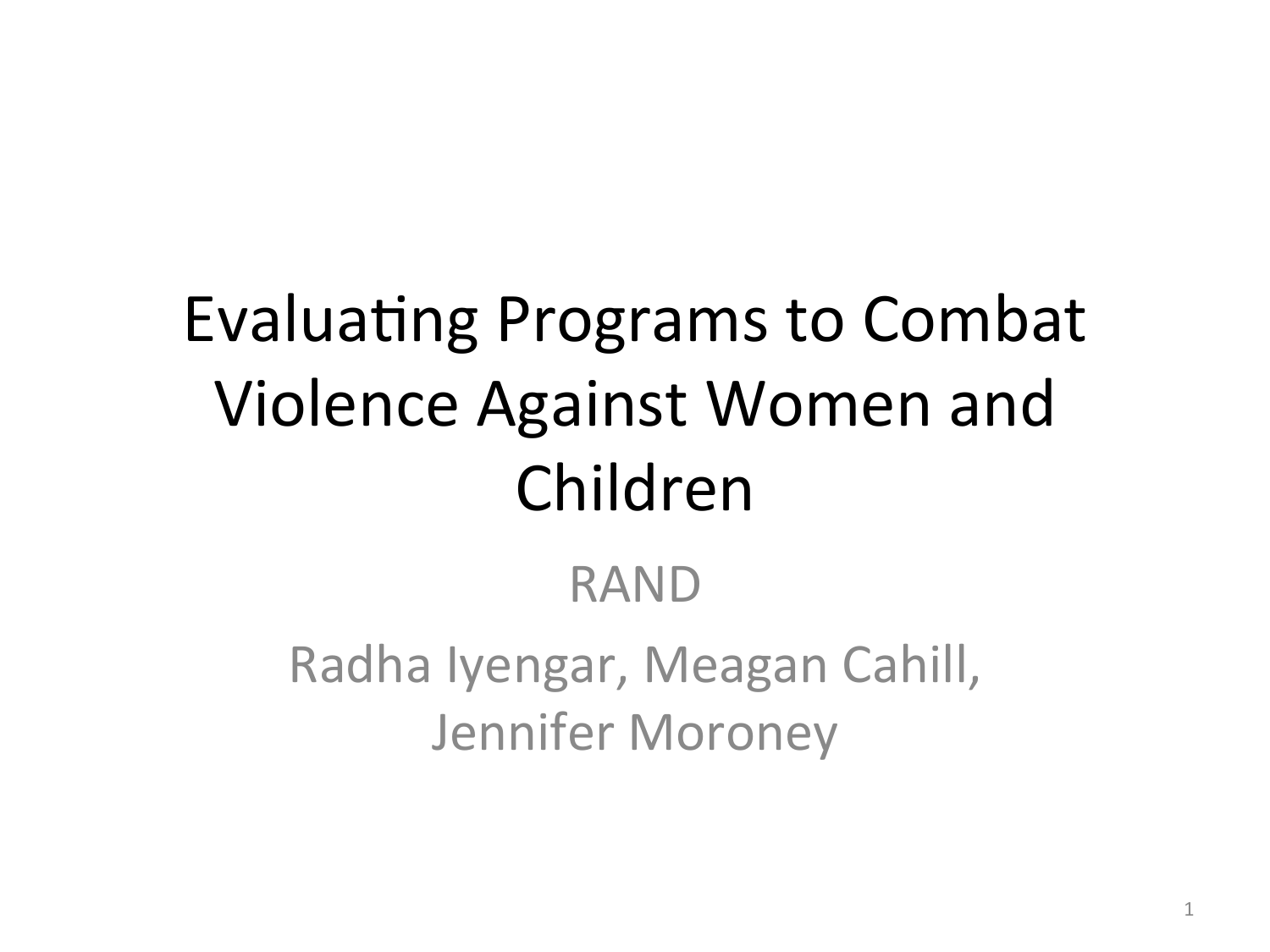### Evaluating Programs to Combat Violence Against Women and Children

#### RAND

Radha Iyengar, Meagan Cahill, Jennifer Moroney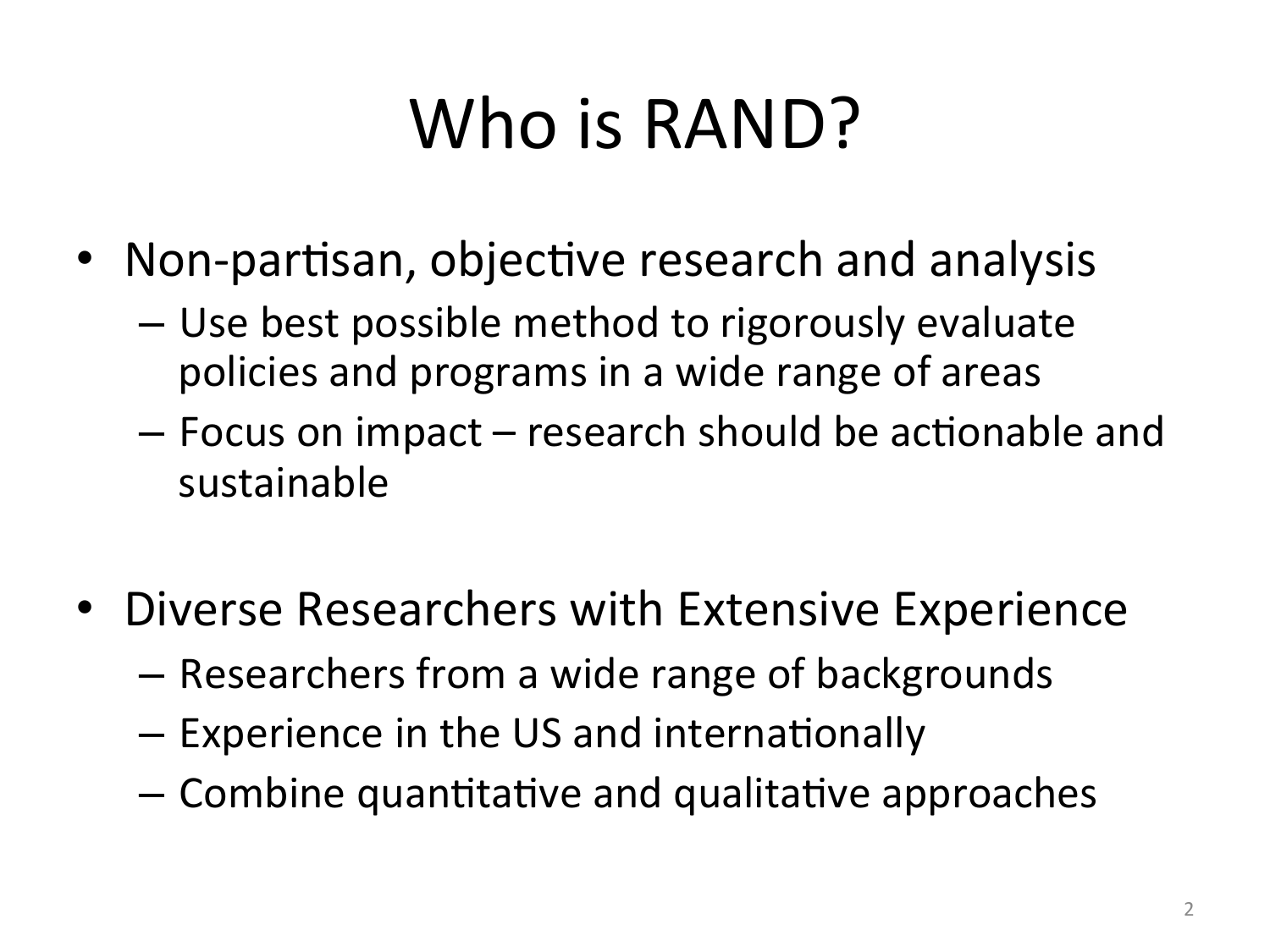# Who is RAND?

- Non-partisan, objective research and analysis
	- Use best possible method to rigorously evaluate policies and programs in a wide range of areas
	- $-$  Focus on impact research should be actionable and sustainable
- Diverse Researchers with Extensive Experience
	- $-$  Researchers from a wide range of backgrounds
	- $-$  Experience in the US and internationally
	- Combine quantitative and qualitative approaches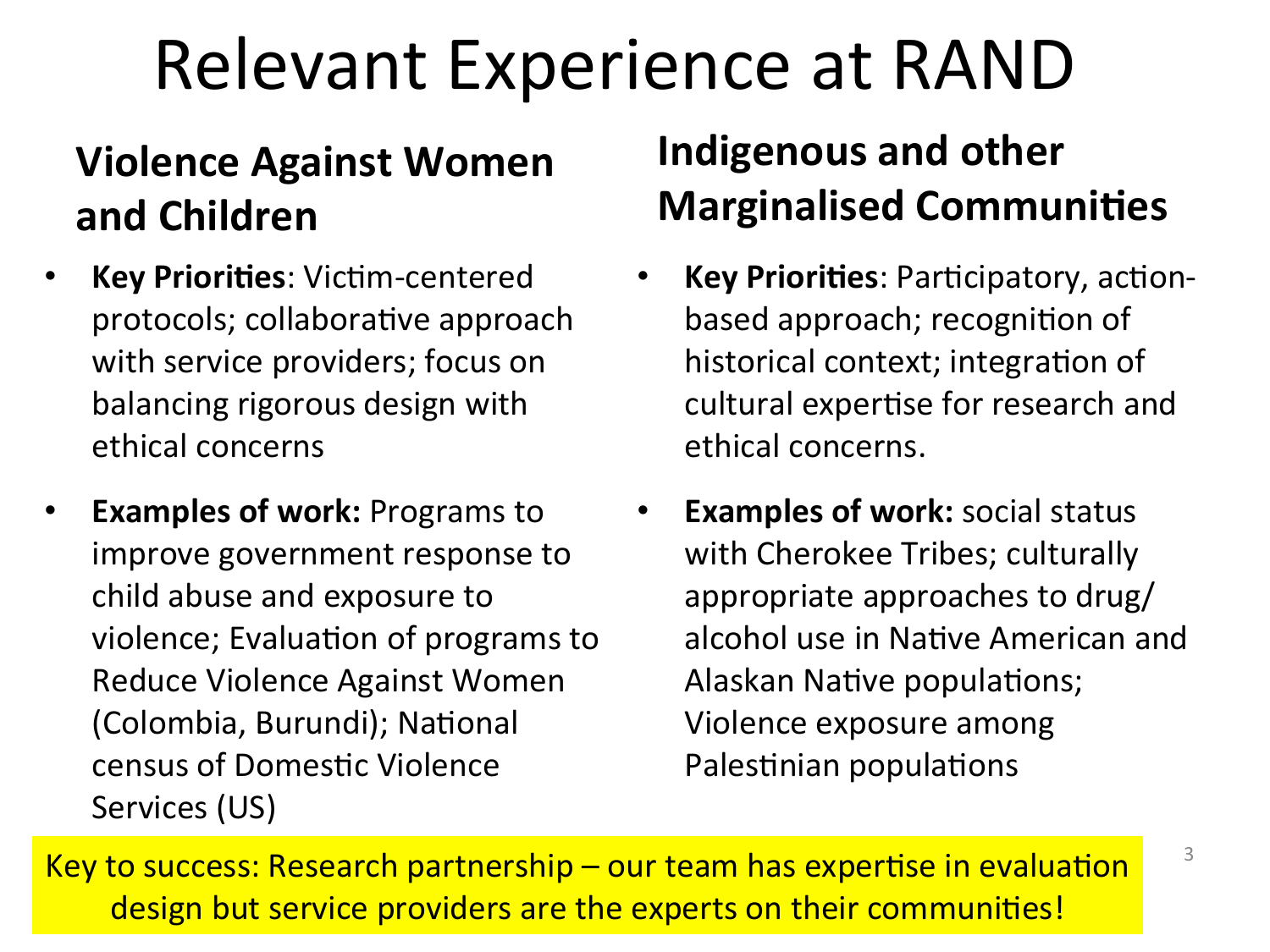## Relevant Experience at RAND

#### **Violence Against Women and Children**

- **Key Priorities: Victim-centered** protocols; collaborative approach with service providers; focus on balancing rigorous design with ethical concerns
- **Examples of work: Programs to** improve government response to child abuse and exposure to violence; Evaluation of programs to Reduce Violence Against Women (Colombia, Burundi); National census of Domestic Violence Services (US)

#### **Indigenous and other Marginalised Communities**

- **Key Priorities: Participatory, action**based approach; recognition of historical context; integration of cultural expertise for research and ethical concerns.
- **Examples of work:** social status with Cherokee Tribes; culturally appropriate approaches to drug/ alcohol use in Native American and Alaskan Native populations; Violence exposure among Palestinian populations

Key to success: Research partnership – our team has expertise in evaluation  $\frac{3}{2}$ design but service providers are the experts on their communities!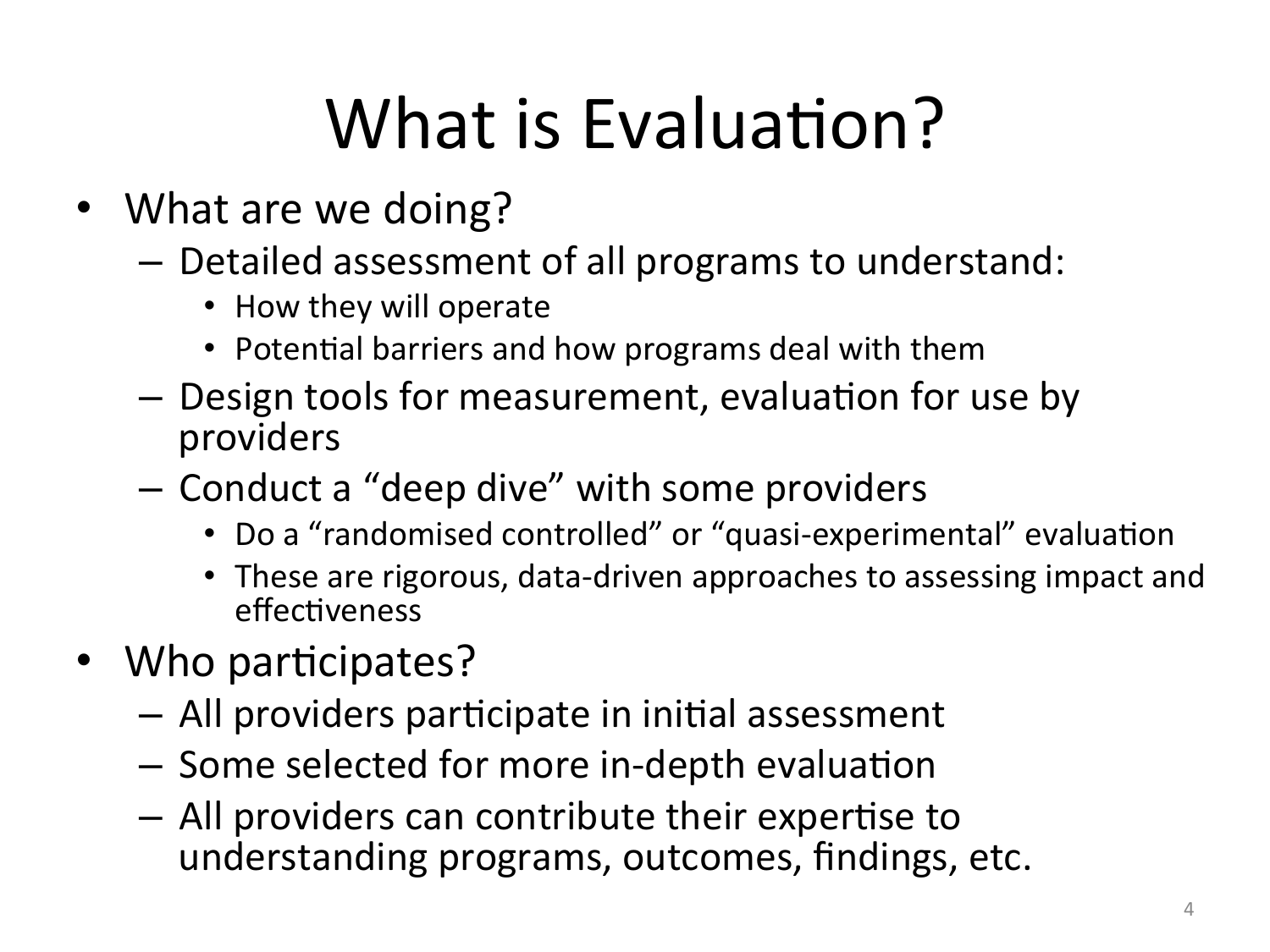# What is Evaluation?

- What are we doing?
	- $-$  Detailed assessment of all programs to understand:
		- How they will operate
		- Potential barriers and how programs deal with them
	- $-$  Design tools for measurement, evaluation for use by providers
	- $-$  Conduct a "deep dive" with some providers
		- Do a "randomised controlled" or "quasi-experimental" evaluation
		- These are rigorous, data-driven approaches to assessing impact and effectiveness
- Who participates?
	- $-$  All providers participate in initial assessment
	- $-$  Some selected for more in-depth evaluation
	- $-$  All providers can contribute their expertise to understanding programs, outcomes, findings, etc.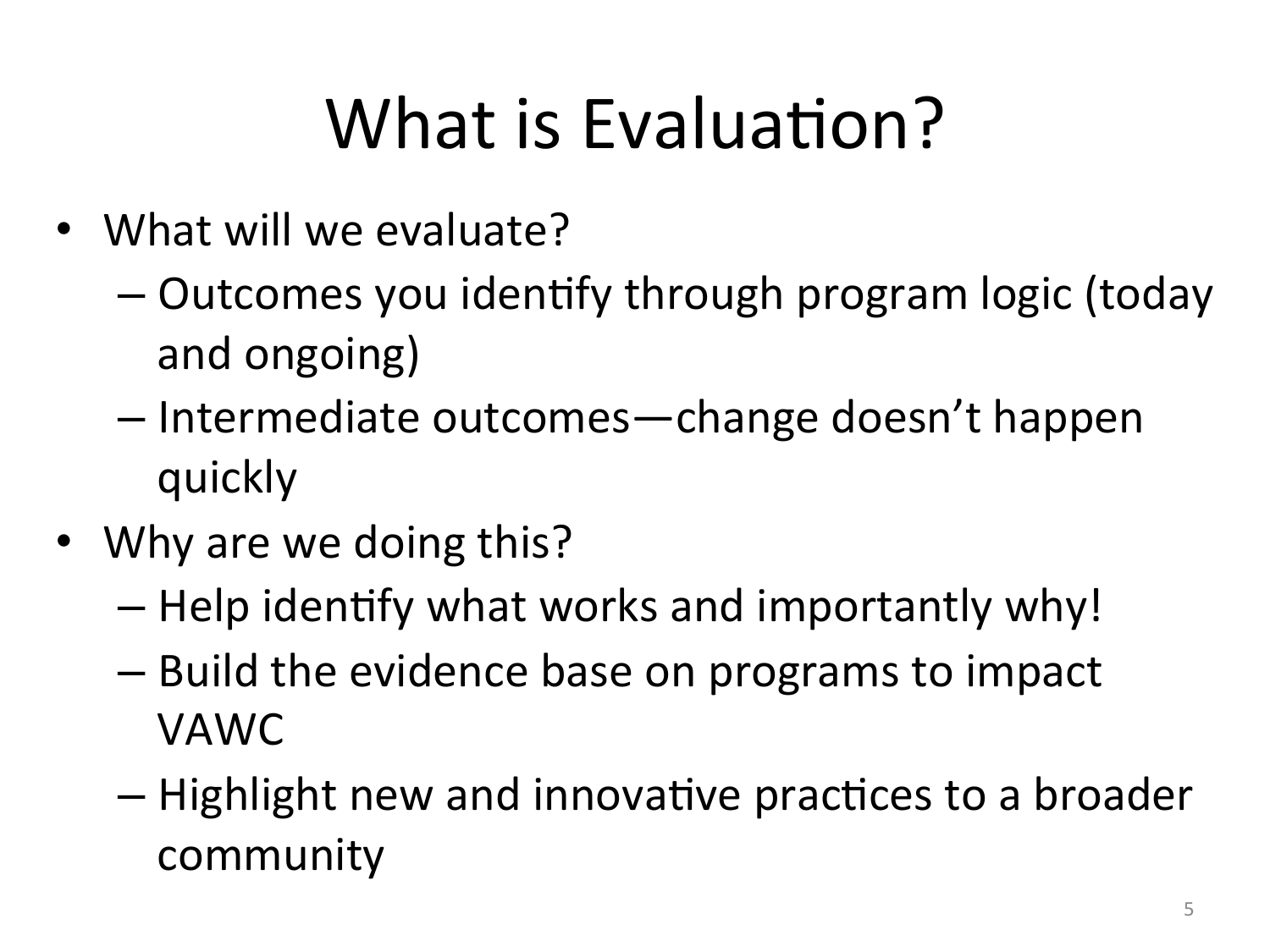# What is Evaluation?

- What will we evaluate?
	- $-$  Outcomes you identify through program logic (today and ongoing)
	- Intermediate outcomes—change doesn't happen quickly
- Why are we doing this?
	- $-$  Help identify what works and importantly why!
	- $-$  Build the evidence base on programs to impact VAWC
	- $-$  Highlight new and innovative practices to a broader community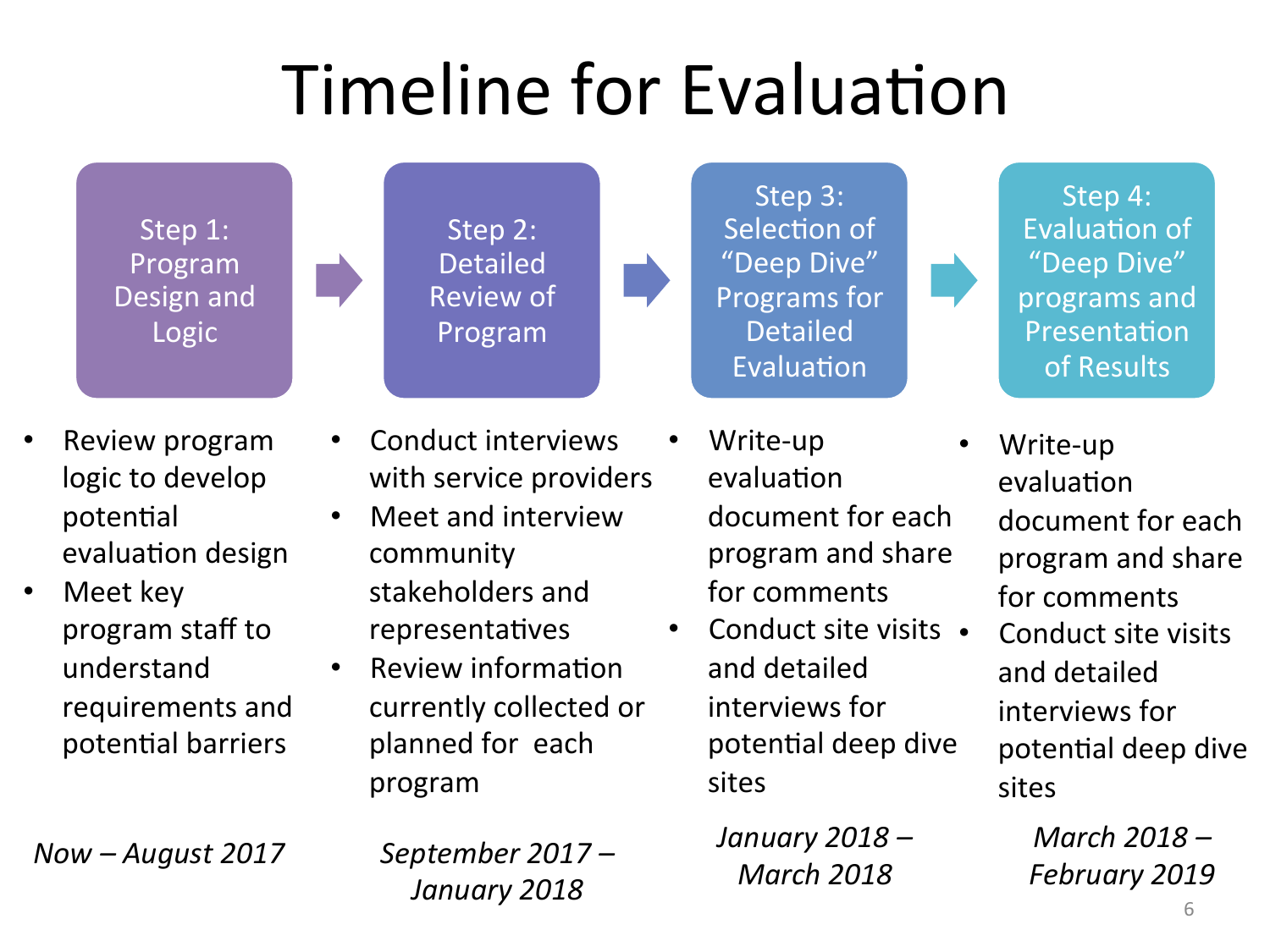# Timeline for Evaluation

Step 1: Program Design and Logic 



Step 3: Selection of "Deep Dive" Programs for Detailed Evaluation

Step 4: Evaluation of "Deep Dive" programs and Presentation of Results

- Review program logic to develop potential evaluation design
- Meet key program staff to understand requirements and potential barriers

*Now* – August 2017 **September 2017** –

• Conduct interviews with service providers

- Meet and interview community stakeholders and representatives
- Review information currently collected or planned for each program
	- *January 2018*
- Write-up evaluation document for each program and share for comments
- Conduct site visits and detailed interviews for potential deep dive sites

*January 2018 – March 2018* 

- Write-up evaluation document for each program and share for comments
- Conduct site visits and detailed interviews for potential deep dive sites

*March 2018 –*  February 2019